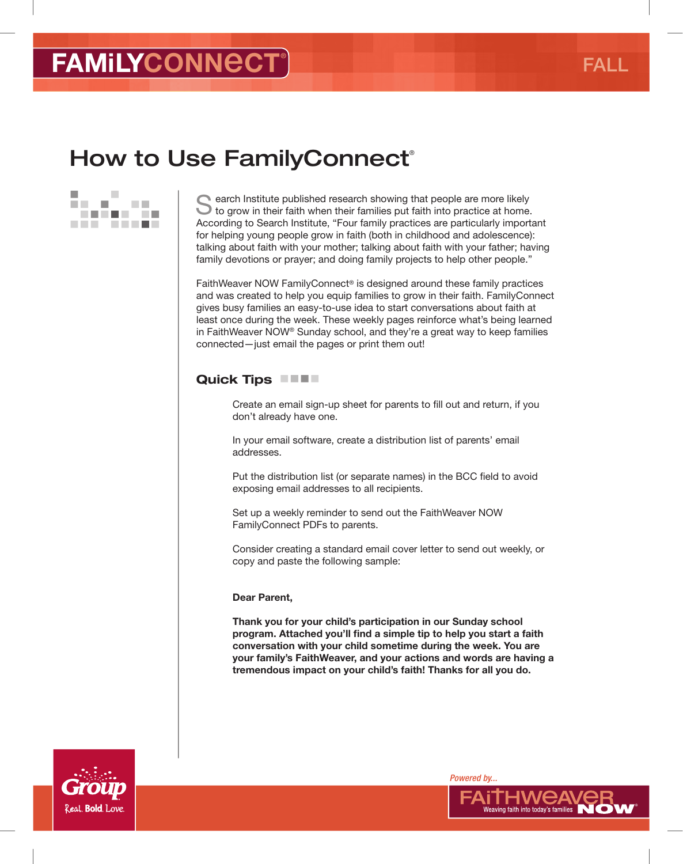# How to Use Family Connect®



earch Institute published research showing that people are more likely Ito grow in their faith when their families put faith into practice at home. According to Search Institute, "Four family practices are particularly important for helping young people grow in faith (both in childhood and adolescence): talking about faith with your mother; talking about faith with your father; having family devotions or prayer; and doing family projects to help other people."

FaithWeaver NOW FamilyConnect® is designed around these family practices and was created to help you equip families to grow in their faith. FamilyConnect gives busy families an easy-to-use idea to start conversations about faith at least once during the week. These weekly pages reinforce what's being learned in FaithWeaver NOW® Sunday school, and they're a great way to keep families connected—just email the pages or print them out!

#### Quick Tips **No. 1.1.**

Create an email sign-up sheet for parents to fll out and return, if you don't already have one.

In your email software, create a distribution list of parents' email addresses.

Put the distribution list (or separate names) in the BCC field to avoid exposing email addresses to all recipients.

Set up a weekly reminder to send out the FaithWeaver NOW FamilyConnect PDFs to parents.

Consider creating a standard email cover letter to send out weekly, or copy and paste the following sample:

#### Dear Parent,

Thank you for your child's participation in our Sunday school program. Attached you'll find a simple tip to help you start a faith conversation with your child sometime during the week. You are your family's FaithWeaver, and your actions and words are having a tremendous impact on your child's faith! Thanks for all you do.



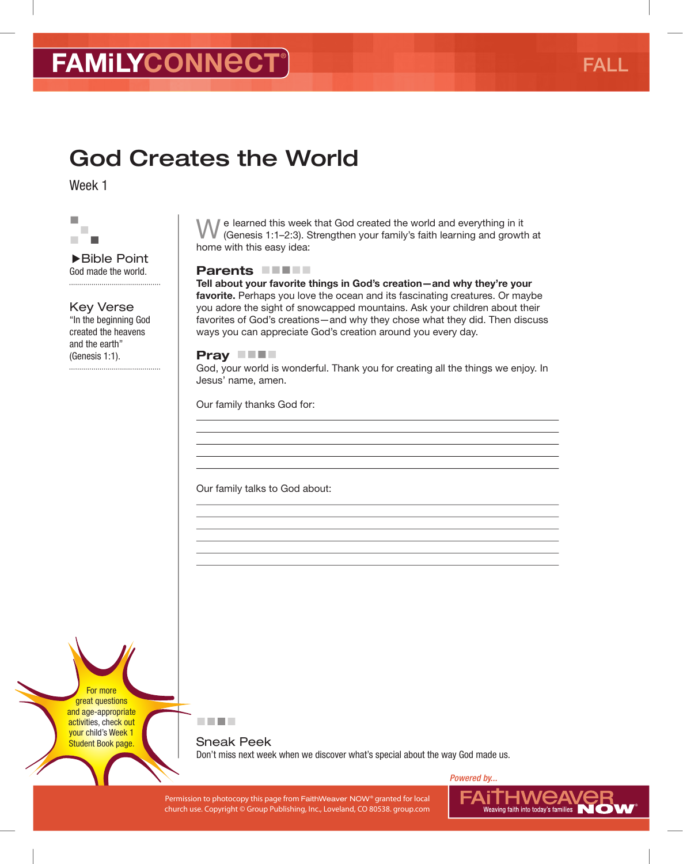# God Creates the World

Week 1



▶Bible Point God made the world. 

### Key Verse

"In the beginning God created the heavens and the earth" (Genesis 1:1).

■ e learned this week that God created the world and everything in it (Genesis 1:1–2:3). Strengthen your family's faith learning and growth at home with this easy idea:

#### Parents **FIFT**

Tell about your favorite things in God's creation—and why they're your favorite. Perhaps you love the ocean and its fascinating creatures. Or maybe you adore the sight of snowcapped mountains. Ask your children about their favorites of God's creations—and why they chose what they did. Then discuss ways you can appreciate God's creation around you every day.

#### Pray **No.**

God, your world is wonderful. Thank you for creating all the things we enjoy. In Jesus' name, amen.

Our family thanks God for:

Our family talks to God about:

For more great questions and age-appropriate activities, check out your child's Week 1 Student Book page.



Sneak Peek Don't miss next week when we discover what's special about the way God made us.

Permission to photocopy this page from FaithWeaver NOW® granted for local PAIINING NUCLANCE RELAYS FOR LOCAL PROVIDING THE RELAYSION OF THE RELAYSION OF THE RELAYSION OF THE RELAYSION OF THE RELAYSION OF THE RELAYSION OF T church use. Copyright © Group Publishing, Inc., Loveland, CO 80538. group.com

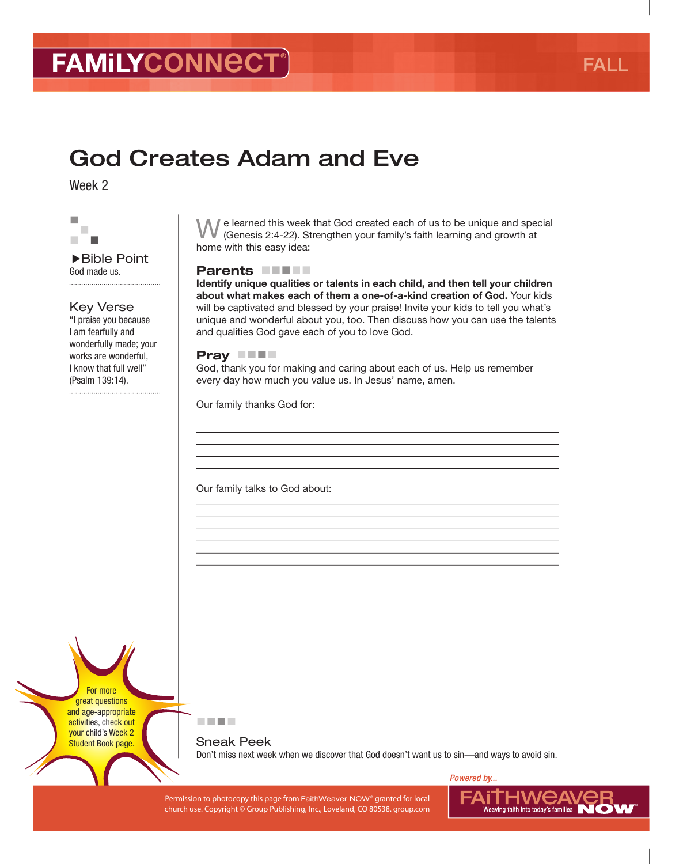# God Creates Adam and Eve

Week 2



▶Bible Point God made us. 

#### Key Verse

"I praise you because I am fearfully and wonderfully made; your works are wonderful, I know that full well" (Psalm 139:14).

 $\mathbb I$  e learned this week that God created each of us to be unique and special (Genesis 2:4-22). Strengthen your family's faith learning and growth at home with this easy idea:

#### Parents **FIFT**

Identify unique qualities or talents in each child, and then tell your children about what makes each of them a one-of-a-kind creation of God. Your kids will be captivated and blessed by your praise! Invite your kids to tell you what's unique and wonderful about you, too. Then discuss how you can use the talents and qualities God gave each of you to love God.

#### Pray **THE**

God, thank you for making and caring about each of us. Help us remember every day how much you value us. In Jesus' name, amen.

Our family thanks God for:

Our family talks to God about:

For more great questions and age-appropriate activities, check out your child's Week 2 Student Book page.



Sneak Peek Don't miss next week when we discover that God doesn't want us to sin—and ways to avoid sin.

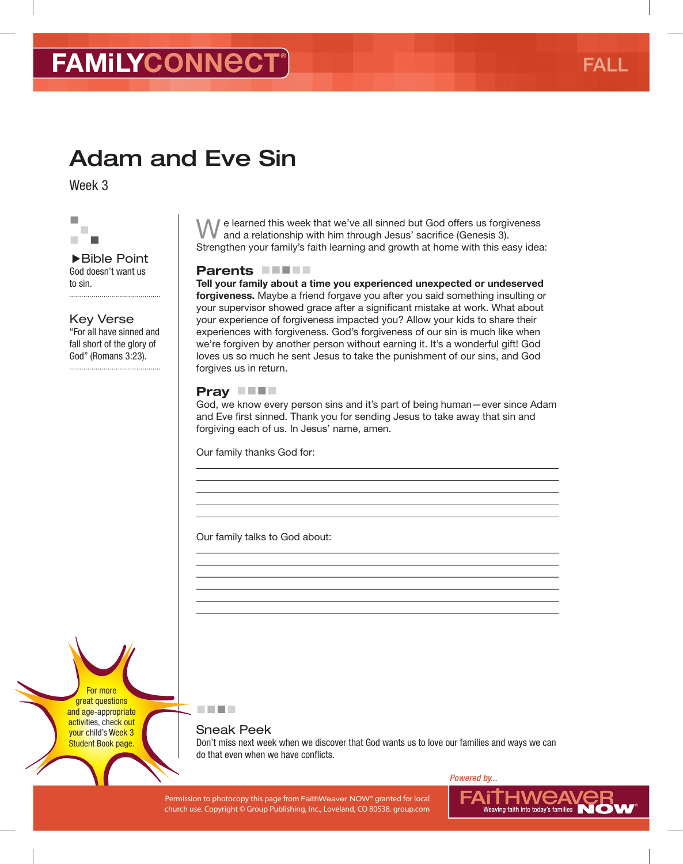# Adam and Eve Sin

Week 3



▶Bible Point God doesn't want us to sin. 

Key Verse "For all have sinned and fall short of the glory of God" (Romans 3:23).

We learned this week that we've all sinned but God offers us forgiveness and a relationship with him through Jesus' sacrifce (Genesis 3). Strengthen your family's faith learning and growth at home with this easy idea:

#### Parents **FIFT**

Tell your family about a time you experienced unexpected or undeserved forgiveness. Maybe a friend forgave you after you said something insulting or your supervisor showed grace after a significant mistake at work. What about your experience of forgiveness impacted you? Allow your kids to share their experiences with forgiveness. God's forgiveness of our sin is much like when we're forgiven by another person without earning it. It's a wonderful gift! God loves us so much he sent Jesus to take the punishment of our sins, and God forgives us in return.

#### Pray **No.**

God, we know every person sins and it's part of being human—ever since Adam and Eve first sinned. Thank you for sending Jesus to take away that sin and forgiving each of us. In Jesus' name, amen.

Our family thanks God for:

Our family talks to God about:

For more great questions and age-appropriate activities, check out your child's Week 3 Student Book page.

#### Sneak Peek

医胃吸虫

Don't miss next week when we discover that God wants us to love our families and ways we can do that even when we have conflicts.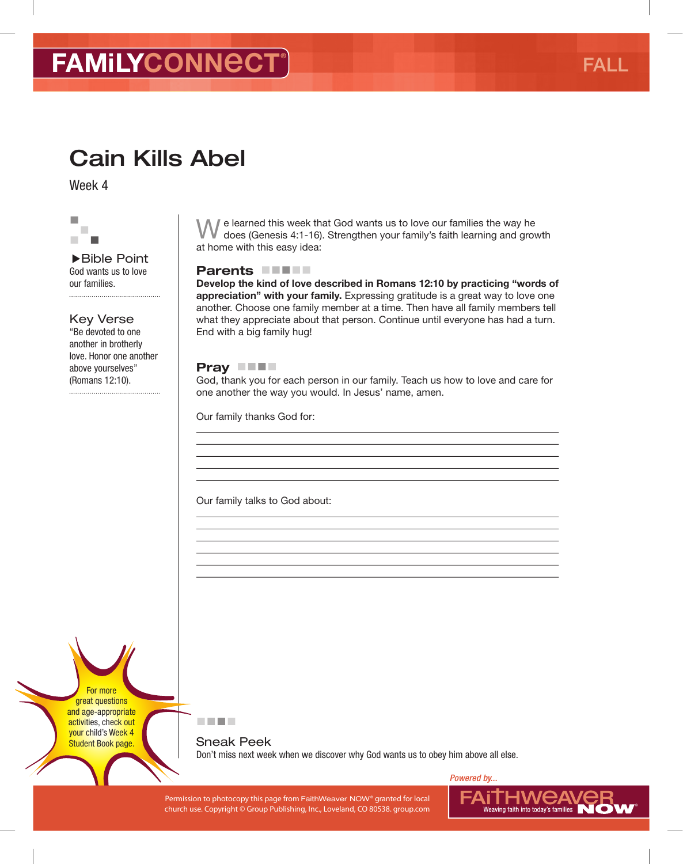# Cain Kills Abel

Week 4



▶Bible Point God wants us to love our families. 

Key Verse

"Be devoted to one another in brotherly love. Honor one another above yourselves" (Romans 12:10). 

We learned this week that God wants us to love our families the way he does (Genesis 4:1-16). Strengthen your family's faith learning and growth at home with this easy idea:

#### Parents **FIFT**

Develop the kind of love described in Romans 12:10 by practicing "words of appreciation" with your family. Expressing gratitude is a great way to love one another. Choose one family member at a time. Then have all family members tell what they appreciate about that person. Continue until everyone has had a turn. End with a big family hug!

#### Pray **THE**

God, thank you for each person in our family. Teach us how to love and care for one another the way you would. In Jesus' name, amen.

Our family thanks God for:

Our family talks to God about:

For more great questions and age-appropriate activities, check out your child's Week 4 Student Book page.



Sneak Peek Don't miss next week when we discover why God wants us to obey him above all else.

Permission to photocopy this page from FaithWeaver NOW® granted for local PAIINING NUCLANCE RELAYS FOR LOCAL PROVIDING THE RELAYSION OF THE RELAYSION OF THE RELAYSION OF THE RELAYSION OF THE RELAYSION OF THE RELAYSION OF T church use. Copyright © Group Publishing, Inc., Loveland, CO 80538. group.com

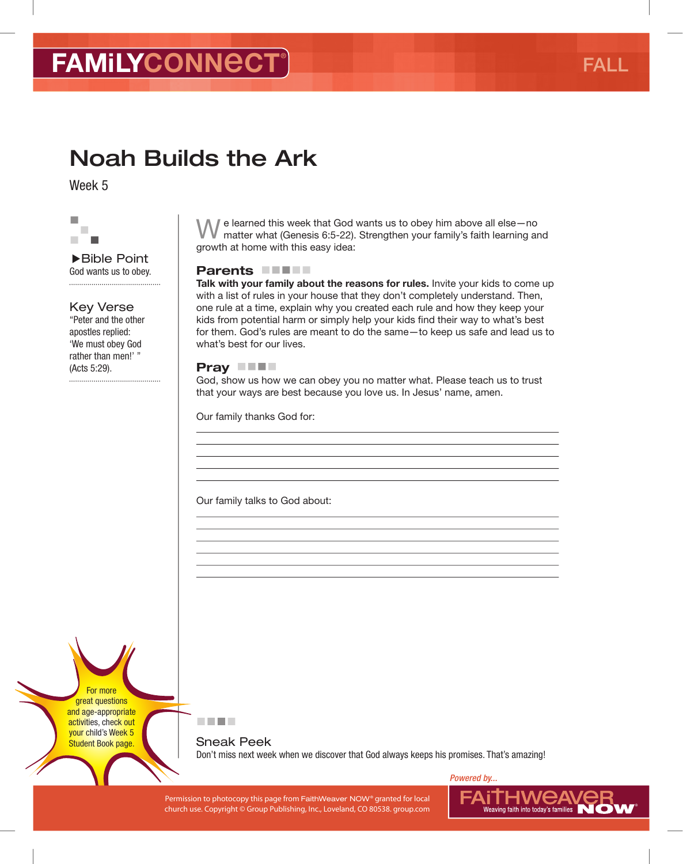# Noah Builds the Ark

Week 5



▶Bible Point God wants us to obey. 

#### Key Verse

"Peter and the other apostles replied: 'We must obey God rather than men!' " (Acts 5:29).

 $\mathbb I$  e learned this week that God wants us to obey him above all else-no matter what (Genesis 6:5-22). Strengthen your family's faith learning and growth at home with this easy idea:

#### Parents **FIFT**

Talk with your family about the reasons for rules. Invite your kids to come up with a list of rules in your house that they don't completely understand. Then, one rule at a time, explain why you created each rule and how they keep your kids from potential harm or simply help your kids fnd their way to what's best for them. God's rules are meant to do the same—to keep us safe and lead us to what's best for our lives.

#### Pray **THE**

God, show us how we can obey you no matter what. Please teach us to trust that your ways are best because you love us. In Jesus' name, amen.

Our family thanks God for:

Our family talks to God about:

For more great questions and age-appropriate activities, check out your child's Week 5 Student Book page.



Sneak Peek Don't miss next week when we discover that God always keeps his promises. That's amazing!

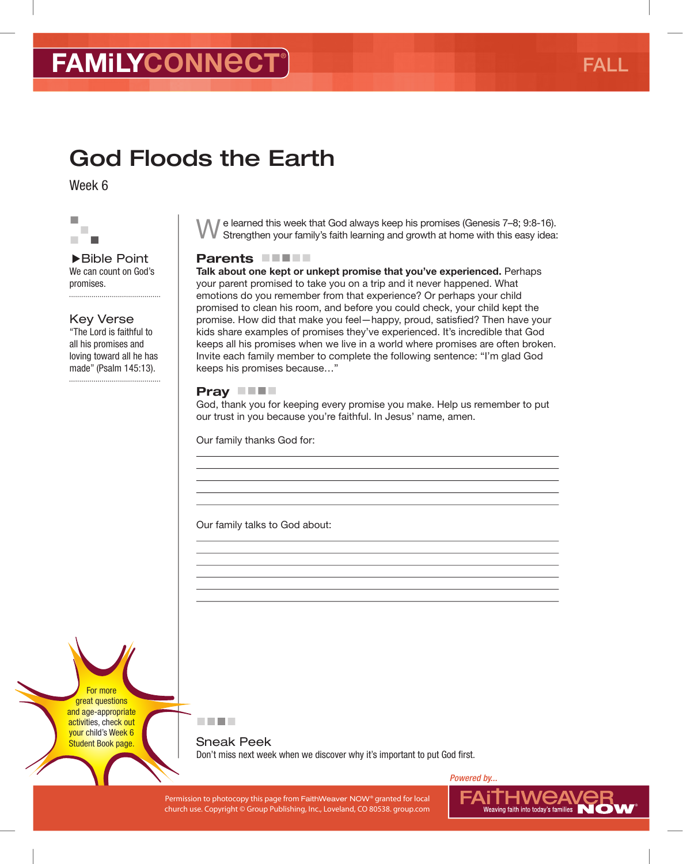# God Floods the Earth

Week 6



#### ▶Bible Point We can count on God's promises.

Key Verse "The Lord is faithful to all his promises and loving toward all he has made" (Psalm 145:13).

We learned this week that God always keep his promises (Genesis 7–8; 9:8-16). Strengthen your family's faith learning and growth at home with this easy idea:

#### Parents **NATION**

Talk about one kept or unkept promise that you've experienced. Perhaps your parent promised to take you on a trip and it never happened. What emotions do you remember from that experience? Or perhaps your child promised to clean his room, and before you could check, your child kept the promise. How did that make you feel—happy, proud, satisfed? Then have your kids share examples of promises they've experienced. It's incredible that God keeps all his promises when we live in a world where promises are often broken. Invite each family member to complete the following sentence: "I'm glad God keeps his promises because…"

#### Pray **NH**

God, thank you for keeping every promise you make. Help us remember to put our trust in you because you're faithful. In Jesus' name, amen.

Our family thanks God for:

Our family talks to God about:

For more great questions and age-appropriate activities, check out your child's Week 6 Student Book page.



Sneak Peek Don't miss next week when we discover why it's important to put God first.

Permission to photocopy this page from FaithWeaver NOW® granted for local PAIINING NUCLANCE RELAYS FOR LOCAL PROVIDING THE RELAYSION OF THE RELAYSION OF THE RELAYSION OF THE RELAYSION OF THE RELAYSION OF THE RELAYSION OF T church use. Copyright © Group Publishing, Inc., Loveland, CO 80538. group.com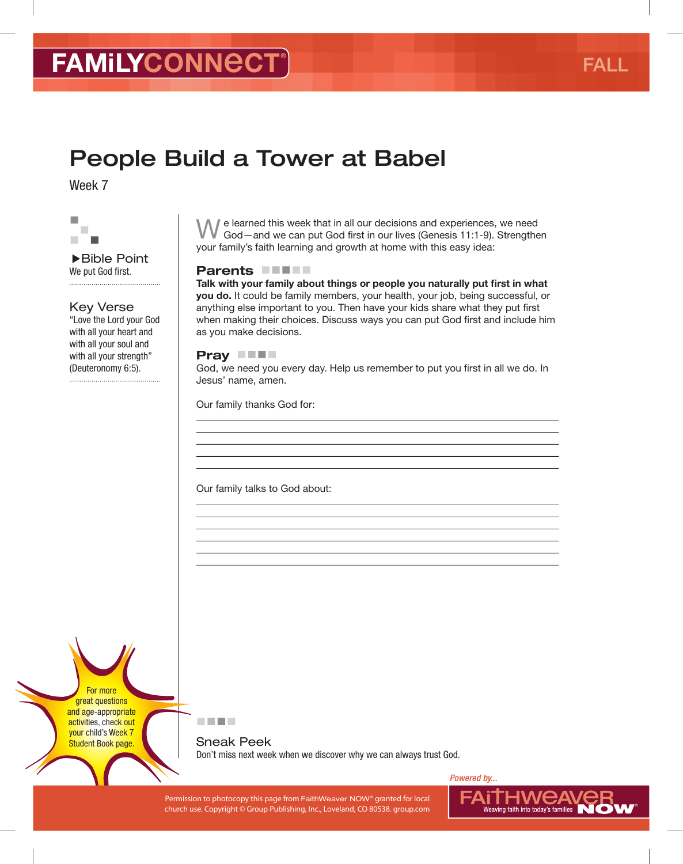# People Build a Tower at Babel

Week 7



▶Bible Point We put God first. 

#### Key Verse

"Love the Lord your God with all your heart and with all your soul and with all your strength" (Deuteronomy 6:5).

 $\mathbb I$  e learned this week that in all our decisions and experiences, we need God—and we can put God frst in our lives (Genesis 11:1-9). Strengthen your family's faith learning and growth at home with this easy idea:

#### Parents **FIFT**

Talk with your family about things or people you naturally put first in what you do. It could be family members, your health, your job, being successful, or anything else important to you. Then have your kids share what they put first when making their choices. Discuss ways you can put God frst and include him as you make decisions.

#### Pray **No.**

God, we need you every day. Help us remember to put you first in all we do. In Jesus' name, amen.

Our family thanks God for:

Our family talks to God about:

For more great questions and age-appropriate activities, check out your child's Week 7 Student Book page.



Sneak Peek Don't miss next week when we discover why we can always trust God.

Permission to photocopy this page from FaithWeaver NOW® granted for local PAIINING NUCLANCE RELAYS FOR LOCAL PROVIDING THE RELAYSION OF THE RELAYSION OF THE RELAYSION OF THE RELAYSION OF THE RELAYSION OF THE RELAYSION OF T church use. Copyright © Group Publishing, Inc., Loveland, CO 80538. group.com

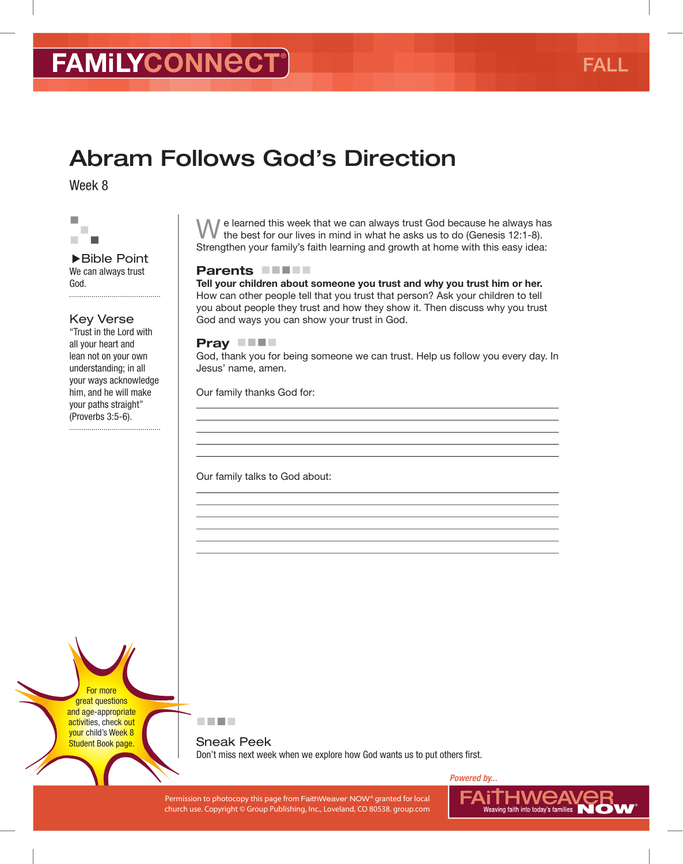# Abram Follows God's Direction

Week 8



▶Bible Point We can always trust God. 

#### Key Verse

"Trust in the Lord with all your heart and lean not on your own understanding; in all your ways acknowledge him, and he will make your paths straight" (Proverbs 3:5-6).

 $\blacksquare$  e learned this week that we can always trust God because he always has the best for our lives in mind in what he asks us to do (Genesis 12:1-8). Strengthen your family's faith learning and growth at home with this easy idea:

#### Parents **FIFT**

Tell your children about someone you trust and why you trust him or her. How can other people tell that you trust that person? Ask your children to tell you about people they trust and how they show it. Then discuss why you trust God and ways you can show your trust in God.

#### Pray **THE**

God, thank you for being someone we can trust. Help us follow you every day. In Jesus' name, amen.

Our family thanks God for:

Our family talks to God about:

For more great questions and age-appropriate activities, check out your child's Week 8 Student Book page.



Sneak Peek Don't miss next week when we explore how God wants us to put others first.

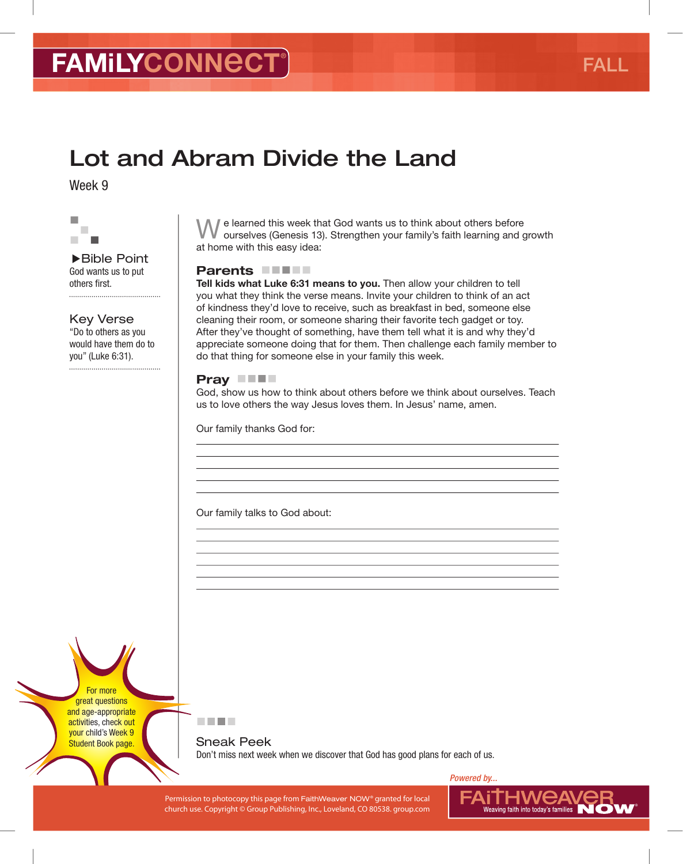# Lot and Abram Divide the Land

Week 9



▶Bible Point God wants us to put others first.

Key Verse "Do to others as you would have them do to you" (Luke 6:31).

We learned this week that God wants us to think about others before ourselves (Genesis 13). Strengthen your family's faith learning and growth at home with this easy idea:

#### Parents **FIFT**

Tell kids what Luke 6:31 means to you. Then allow your children to tell you what they think the verse means. Invite your children to think of an act of kindness they'd love to receive, such as breakfast in bed, someone else cleaning their room, or someone sharing their favorite tech gadget or toy. After they've thought of something, have them tell what it is and why they'd appreciate someone doing that for them. Then challenge each family member to do that thing for someone else in your family this week.

#### Pray **THE**

God, show us how to think about others before we think about ourselves. Teach us to love others the way Jesus loves them. In Jesus' name, amen.

Our family thanks God for:

Our family talks to God about:

For more great questions and age-appropriate activities, check out your child's Week 9 Student Book page.

医血管肌

Sneak Peek Don't miss next week when we discover that God has good plans for each of us.

Permission to photocopy this page from FaithWeaver NOW® granted for local PAIINING NUCLANCE RELAYS FOR LOCAL PROVIDING THE RELAYSION OF THE RELAYSION OF THE RELAYSION OF THE RELAYSION OF THE RELAYSION OF THE RELAYSION OF T church use. Copyright © Group Publishing, Inc., Loveland, CO 80538. group.com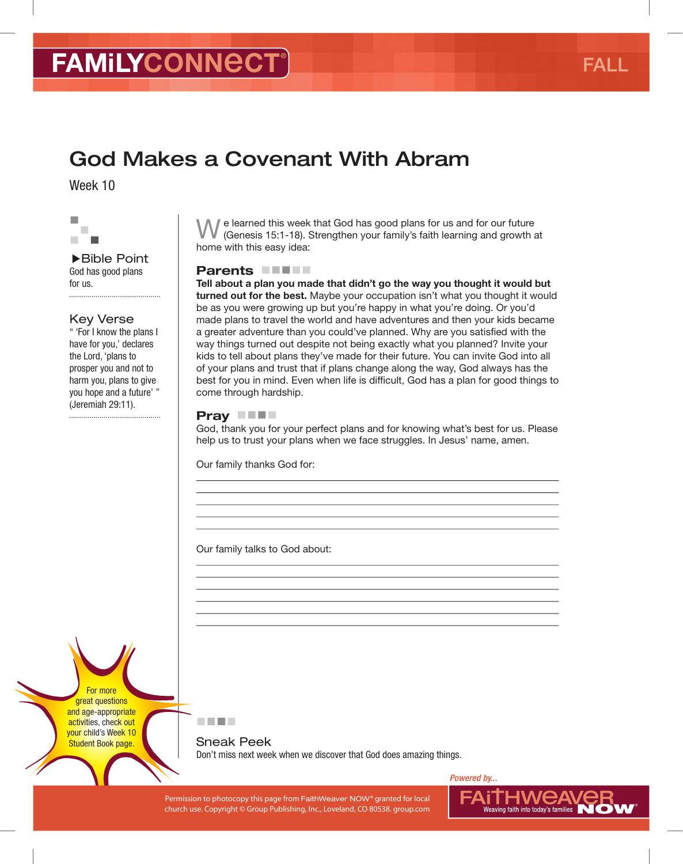### God Makes a Covenant With Abram

Week 10



▶Bible Point God has good plans for us. 

#### Key Verse

" 'For I know the plans I have for you,' declares the Lord, 'plans to prosper you and not to harm you, plans to give you hope and a future' " (Jeremiah 29:11). 

If e learned this week that God has good plans for us and for our future (Genesis 15:1-18). Strengthen your family's faith learning and growth at home with this easy idea:

#### Parents **FIFT**

Tell about a plan you made that didn't go the way you thought it would but turned out for the best. Maybe your occupation isn't what you thought it would be as you were growing up but you're happy in what you're doing. Or you'd made plans to travel the world and have adventures and then your kids became a greater adventure than you could've planned. Why are you satisfed with the way things turned out despite not being exactly what you planned? Invite your kids to tell about plans they've made for their future. You can invite God into all of your plans and trust that if plans change along the way, God always has the best for you in mind. Even when life is difficult, God has a plan for good things to come through hardship.

#### Pray **THE**

God, thank you for your perfect plans and for knowing what's best for us. Please help us to trust your plans when we face struggles. In Jesus' name, amen.

Our family thanks God for:

Our family talks to God about:

For more great questions and age-appropriate activities, check out your child's Week 10 Student Book page.



Sneak Peek Don't miss next week when we discover that God does amazing things.

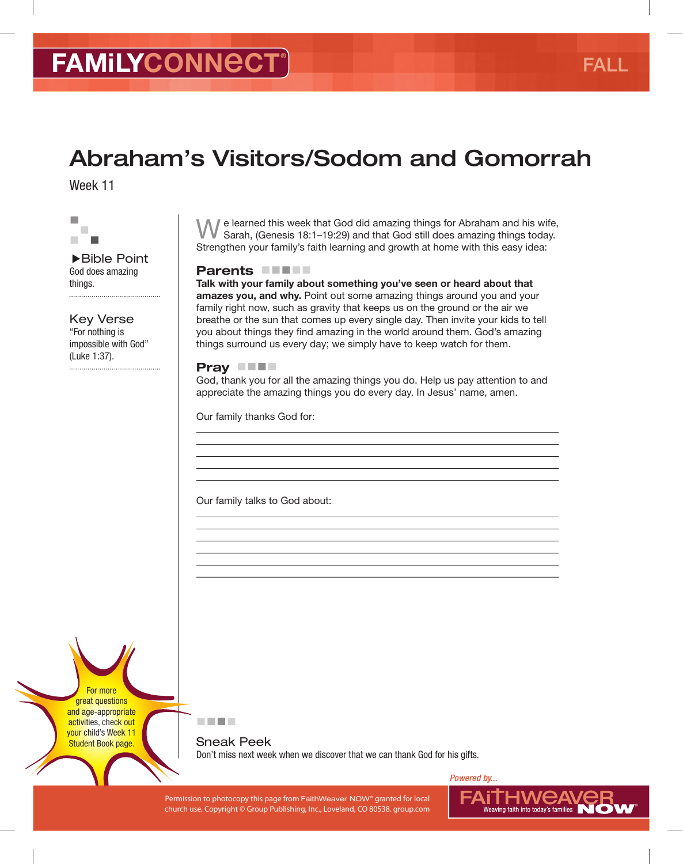# Abraham's Visitors/Sodom and Gomorrah

Week 11



▶Bible Point God does amazing things. 

Key Verse "For nothing is impossible with God" (Luke 1:37).

We learned this week that God did amazing things for Abraham and his wife, Sarah, (Genesis 18:1–19:29) and that God still does amazing things today. Strengthen your family's faith learning and growth at home with this easy idea:

#### Parents **FIFT**

Talk with your family about something you've seen or heard about that amazes you, and why. Point out some amazing things around you and your family right now, such as gravity that keeps us on the ground or the air we breathe or the sun that comes up every single day. Then invite your kids to tell you about things they find amazing in the world around them. God's amazing things surround us every day; we simply have to keep watch for them.

#### Pray **THE**

God, thank you for all the amazing things you do. Help us pay attention to and appreciate the amazing things you do every day. In Jesus' name, amen.

Our family thanks God for:

Our family talks to God about:

For more great questions and age-appropriate activities, check out your child's Week 11 Student Book page.



Sneak Peek Don't miss next week when we discover that we can thank God for his gifts.

Permission to photocopy this page from FaithWeaver NOW® granted for local PAIINING NUCLANCE RELAYS FOR LOCAL PROVIDING THE RELAYSION OF THE RELAYSION OF THE RELAYSION OF THE RELAYSION OF THE RELAYSION OF THE RELAYSION OF T church use. Copyright © Group Publishing, Inc., Loveland, CO 80538. group.com



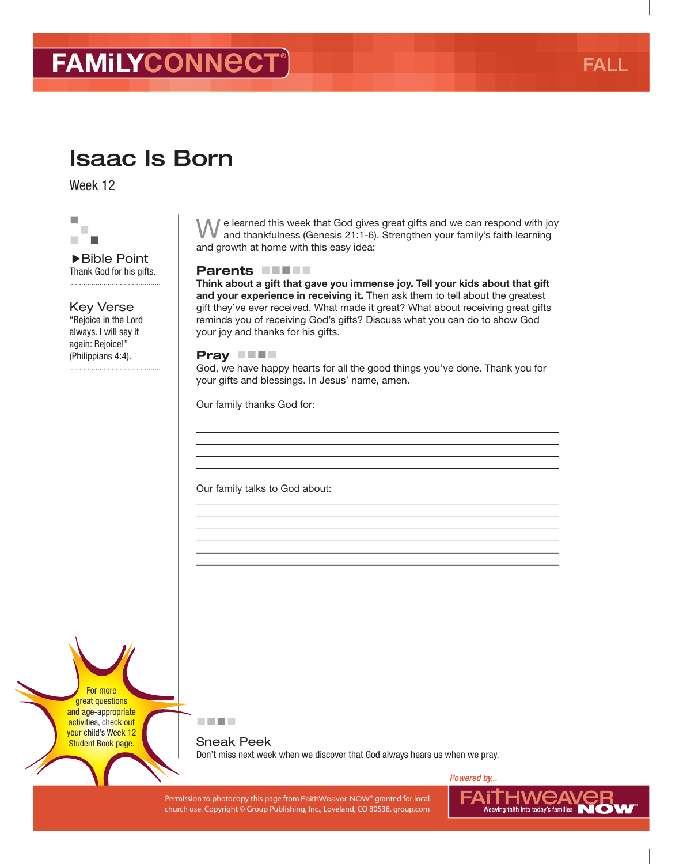## Isaac Is Born

Week 12



▶Bible Point Thank God for his gifts. 

Key Verse "Rejoice in the Lord

always. I will say it again: Rejoice!" (Philippians 4:4).

We learned this week that God gives great gifts and we can respond with joy and thankfulness (Genesis 21:1-6). Strengthen your family's faith learning and growth at home with this easy idea:

#### Parents **FIFT**

Think about a gift that gave you immense joy. Tell your kids about that gift and your experience in receiving it. Then ask them to tell about the greatest gift they've ever received. What made it great? What about receiving great gifts reminds you of receiving God's gifts? Discuss what you can do to show God your joy and thanks for his gifts.

#### Pray **THE**

God, we have happy hearts for all the good things you've done. Thank you for your gifts and blessings. In Jesus' name, amen.

Our family thanks God for:

Our family talks to God about:

For more great questions and age-appropriate activities, check out your child's Week 12 Student Book page.



Sneak Peek Don't miss next week when we discover that God always hears us when we pray.

Permission to photocopy this page from FaithWeaver NOW® granted for local PAIINING NUCLANCE RELAYS FOR LOCAL PROVIDING THE RELAYSION OF THE RELAYSION OF THE RELAYSION OF THE RELAYSION OF THE RELAYSION OF THE RELAYSION OF T church use. Copyright © Group Publishing, Inc., Loveland, CO 80538. group.com